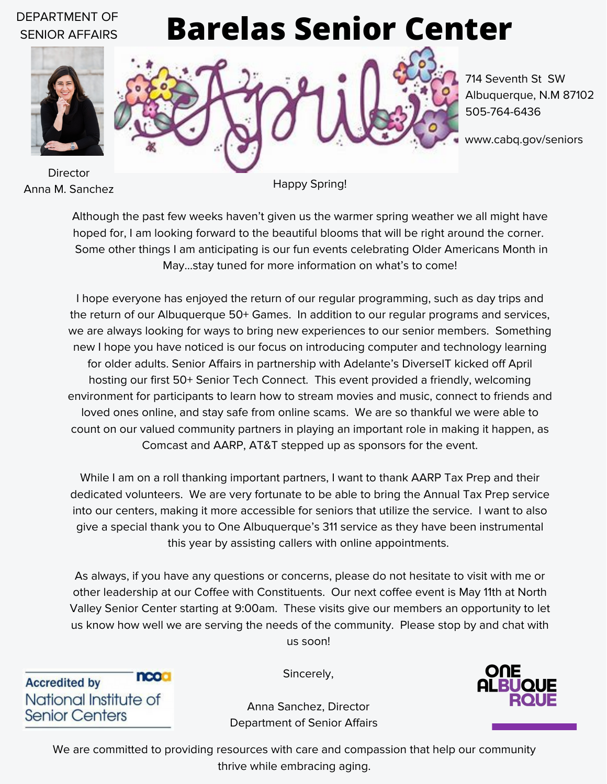

714 Seventh St SW Albuquerque, N.M 87102 505-764-6436

www.cabq.gov/seniors

**Director** Anna M. Sanchez

Happy Spring!

Although the past few weeks haven't given us the warmer spring weather we all might have hoped for, I am looking forward to the beautiful blooms that will be right around the corner. Some other things I am anticipating is our fun events celebrating Older Americans Month in May…stay tuned for more information on what's to come!

I hope everyone has enjoyed the return of our regular programming, such as day trips and the return of our Albuquerque 50+ Games. In addition to our regular programs and services, we are always looking for ways to bring new experiences to our senior members. Something new I hope you have noticed is our focus on introducing computer and technology learning for older adults. Senior Affairs in partnership with Adelante's DiverseIT kicked off April hosting our first 50+ Senior Tech Connect. This event provided a friendly, welcoming environment for participants to learn how to stream movies and music, connect to friends and loved ones online, and stay safe from online scams. We are so thankful we were able to count on our valued community partners in playing an important role in making it happen, as Comcast and AARP, AT&T stepped up as sponsors for the event.

While I am on a roll thanking important partners, I want to thank AARP Tax Prep and their dedicated volunteers. We are very fortunate to be able to bring the Annual Tax Prep service into our centers, making it more accessible for seniors that utilize the service. I want to also give a special thank you to One Albuquerque's 311 service as they have been instrumental this year by assisting callers with online appointments.

As always, if you have any questions or concerns, please do not hesitate to visit with me or other leadership at our Coffee with Constituents. Our next coffee event is May 11th at North Valley Senior Center starting at 9:00am. These visits give our members an opportunity to let us know how well we are serving the needs of the community. Please stop by and chat with us soon!

ncoa **Accredited by** National Institute of **Senior Centers** 

Sincerely,



Anna Sanchez, Director Department of Senior Affairs

We are committed to providing resources with care and compassion that help our community thrive while embracing aging.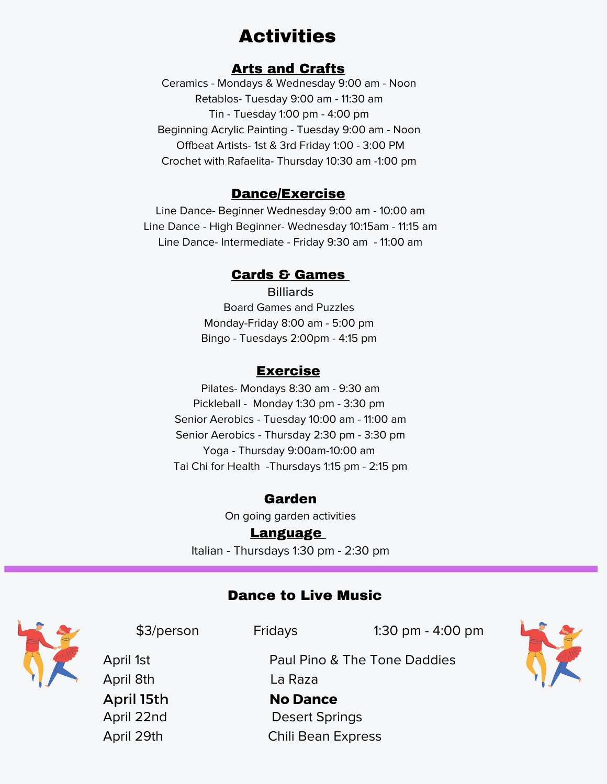# **Activities**

### Arts and Crafts

Ceramics - Mondays & Wednesday 9:00 am - Noon Retablos- Tuesday 9:00 am - 11:30 am Tin - Tuesday 1:00 pm - 4:00 pm Beginning Acrylic Painting - Tuesday 9:00 am - Noon Offbeat Artists- 1st & 3rd Friday 1:00 - 3:00 PM Crochet with Rafaelita- Thursday 10:30 am -1:00 pm

#### Dance/Exercise

Line Dance- Beginner Wednesday 9:00 am - 10:00 am Line Dance - High Beginner- Wednesday 10:15am - 11:15 am Line Dance- Intermediate - Friday 9:30 am - 11:00 am

#### **Cards & Games**

**Billiards** Board Games and Puzzles Monday-Friday 8:00 am - 5:00 pm Bingo - Tuesdays 2:00pm - 4:15 pm

#### **Exercise**

Pilates- Mondays 8:30 am - 9:30 am Pickleball - Monday 1:30 pm - 3:30 pm Senior Aerobics - Tuesday 10:00 am - 11:00 am Senior Aerobics - Thursday 2:30 pm - 3:30 pm Yoga - Thursday 9:00am-10:00 am Tai Chi for Health -Thursdays 1:15 pm - 2:15 pm

### Garden

On going garden activities

#### **Language**

Italian - Thursdays 1:30 pm - 2:30 pm

### Dance to Live Music



\$3/person Fridays 1:30 pm - 4:00 pm

April 1st **Paul Pino & The Tone Daddies** April 8th La Raza

## April 15th **No Dance**

April 22nd Desert Springs April 29th Chili Bean Express

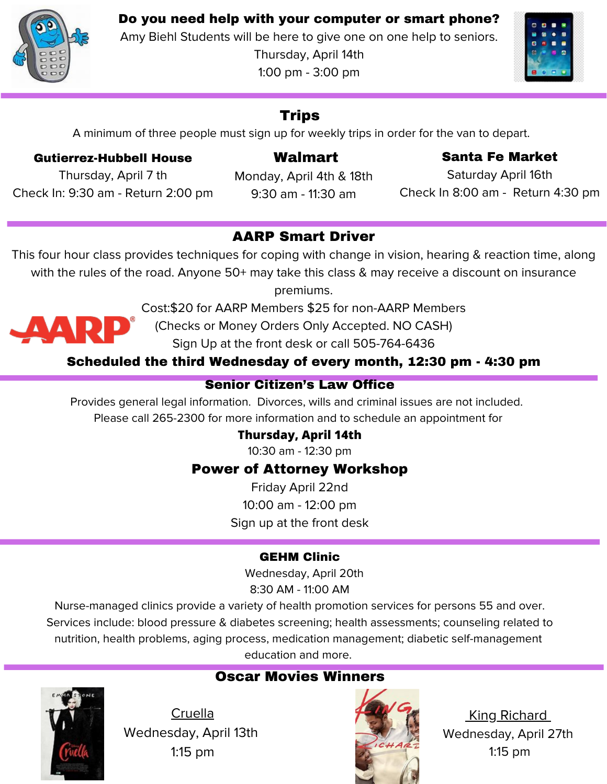

Amy Biehl Students will be here to give one on one help to seniors.

Thursday, April 14th

1:00 pm - 3:00 pm



## **Trips**

A minimum of three people must sign up for weekly trips in order for the van to depart.

### Gutierrez-Hubbell House

### Walmart

### Santa Fe Market

Thursday, April 7 th Check In: 9:30 am - Return 2:00 pm

Monday, April 4th & 18th 9:30 am - 11:30 am

Saturday April 16th Check In 8:00 am - Return 4:30 pm

## AARP Smart Driver

This four hour class provides techniques for coping with change in vision, hearing & reaction time, along with the rules of the road. Anyone 50+ may take this class & may receive a discount on insurance

premiums.

Cost:\$20 for AARP Members \$25 for non-AARP Members

(Checks or Money Orders Only Accepted. NO CASH) Sign Up at the front desk or call 505-764-6436

Scheduled the third Wednesday of every month, 12:30 pm - 4:30 pm

### Senior Citizen's Law Office

Provides general legal information. Divorces, wills and criminal issues are not included. Please call 265-2300 for more information and to schedule an appointment for

### **Thursday, April 14th**

10:30 am - 12:30 pm

## Power of Attorney Workshop

Friday April 22nd 10:00 am - 12:00 pm Sign up at the front desk

### GEHM Clinic

Wednesday, April 20th 8:30 AM - 11:00 AM

Nurse-managed clinics provide a variety of health promotion services for persons 55 and over. Services include: blood pressure & diabetes screening; health assessments; counseling related to nutrition, health problems, aging process, medication management; diabetic self-management education and more.



**Cruella** Wednesday, April 13th 1:15 pm

## Oscar Movies Winners



**King Richard** Wednesday, April 27th 1:15 pm